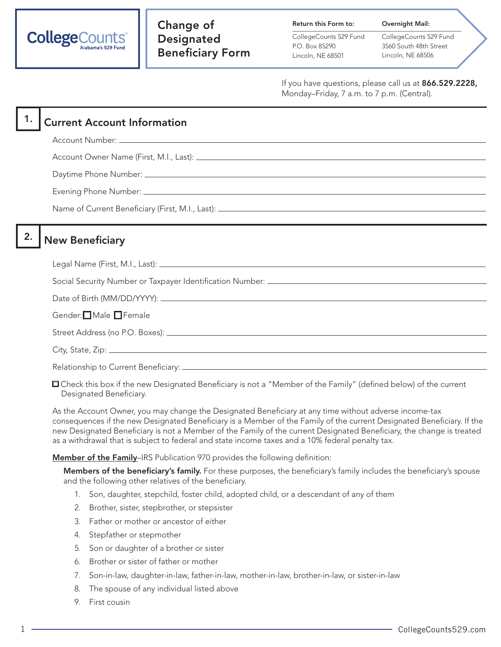

Return this Form to:

CollegeCounts 529 Fund P.O. Box 85290 Lincoln, NE 68501

CollegeCounts 529 Fund 3560 South 48th Street Lincoln, NE 68506

Overnight Mail:

If you have questions, please call us at 866.529.2228, Monday–Friday, 7 a.m. to 7 p.m. (Central).

## **Current Account Information**

Account Number:

Account Owner Name (First, M.I., Last):

Daytime Phone Number:

Evening Phone Number:

Name of Current Beneficiary (First, M.I., Last):

## 2. New Beneficiary

Legal Name (First, M.I., Last):

Social Security Number or Taxpayer Identification Number: \_\_\_\_\_\_\_\_\_\_\_\_\_\_\_\_\_\_\_\_\_\_\_

Date of Birth (MM/DD/YYYY):

Gender:**□** Male □ Female

Street Address (no P.O. Boxes):

City, State, Zip:

Relationship to Current Beneficiary:

 Check this box if the new Designated Beneficiary is not a "Member of the Family" (defined below) of the current Designated Beneficiary.

As the Account Owner, you may change the Designated Beneficiary at any time without adverse income-tax consequences if the new Designated Beneficiary is a Member of the Family of the current Designated Beneficiary. If the new Designated Beneficiary is not a Member of the Family of the current Designated Beneficiary, the change is treated as a withdrawal that is subject to federal and state income taxes and a 10% federal penalty tax.

Member of the Family-IRS Publication 970 provides the following definition:

Members of the beneficiary's family. For these purposes, the beneficiary's family includes the beneficiary's spouse and the following other relatives of the beneficiary.

- 1. Son, daughter, stepchild, foster child, adopted child, or a descendant of any of them
- 2. Brother, sister, stepbrother, or stepsister
- 3. Father or mother or ancestor of either
- 4. Stepfather or stepmother
- 5. Son or daughter of a brother or sister
- 6. Brother or sister of father or mother
- 7. Son-in-law, daughter-in-law, father-in-law, mother-in-law, brother-in-law, or sister-in-law
- 8. The spouse of any individual listed above
- 9. First cousin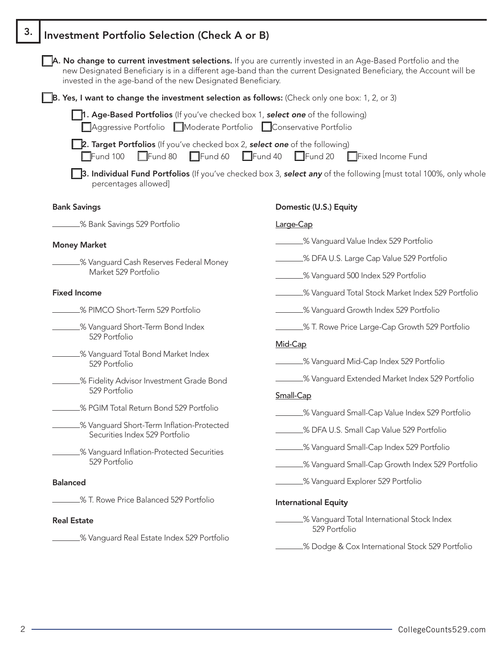| Investment Portfolio Selection (Check A or B)                                                                                                    |                                                                                                                                                                                                                                      |
|--------------------------------------------------------------------------------------------------------------------------------------------------|--------------------------------------------------------------------------------------------------------------------------------------------------------------------------------------------------------------------------------------|
| invested in the age-band of the new Designated Beneficiary.                                                                                      | A. No change to current investment selections. If you are currently invested in an Age-Based Portfolio and the<br>new Designated Beneficiary is in a different age-band than the current Designated Beneficiary, the Account will be |
| <b>B. Yes, I want to change the investment selection as follows:</b> (Check only one box: 1, 2, or 3)                                            |                                                                                                                                                                                                                                      |
| 1. Age-Based Portfolios (If you've checked box 1, select one of the following)<br>Aggressive Portfolio Moderate Portfolio Conservative Portfolio |                                                                                                                                                                                                                                      |
| <b>2. Target Portfolios</b> (If you've checked box 2, <b>select one</b> of the following)<br>$\Box$ Fund 80<br>$\Box$ Fund 60<br>$\Box$ Fund 100 | $\Box$ Fund 40<br>$\Box$ Fund 20<br>Fixed Income Fund                                                                                                                                                                                |
| percentages allowed]                                                                                                                             | 3. Individual Fund Portfolios (If you've checked box 3, select any of the following [must total 100%, only whole                                                                                                                     |
| <b>Bank Savings</b>                                                                                                                              | Domestic (U.S.) Equity                                                                                                                                                                                                               |
| .% Bank Savings 529 Portfolio                                                                                                                    | Large-Cap                                                                                                                                                                                                                            |
| <b>Money Market</b>                                                                                                                              | % Vanguard Value Index 529 Portfolio                                                                                                                                                                                                 |
| _% Vanguard Cash Reserves Federal Money                                                                                                          | % DFA U.S. Large Cap Value 529 Portfolio                                                                                                                                                                                             |
| Market 529 Portfolio                                                                                                                             | .% Vanguard 500 Index 529 Portfolio                                                                                                                                                                                                  |
| <b>Fixed Income</b>                                                                                                                              | % Vanguard Total Stock Market Index 529 Portfolio                                                                                                                                                                                    |
| % PIMCO Short-Term 529 Portfolio                                                                                                                 | .% Vanguard Growth Index 529 Portfolio                                                                                                                                                                                               |
| % Vanguard Short-Term Bond Index                                                                                                                 | .% T. Rowe Price Large-Cap Growth 529 Portfolio                                                                                                                                                                                      |
| 529 Portfolio                                                                                                                                    | Mid-Cap                                                                                                                                                                                                                              |
| % Vanguard Total Bond Market Index<br>529 Portfolio                                                                                              | % Vanguard Mid-Cap Index 529 Portfolio                                                                                                                                                                                               |
| % Fidelity Advisor Investment Grade Bond                                                                                                         | % Vanguard Extended Market Index 529 Portfolio                                                                                                                                                                                       |
| 529 Portfolio                                                                                                                                    | Small-Cap                                                                                                                                                                                                                            |
| % PGIM Total Return Bond 529 Portfolio                                                                                                           | % Vanguard Small-Cap Value Index 529 Portfolio                                                                                                                                                                                       |
| % Vanguard Short-Term Inflation-Protected<br>Securities Index 529 Portfolio                                                                      | _% DFA U.S. Small Cap Value 529 Portfolio                                                                                                                                                                                            |
|                                                                                                                                                  | % Vanguard Small-Cap Index 529 Portfolio                                                                                                                                                                                             |
| % Vanguard Inflation-Protected Securities<br>529 Portfolio                                                                                       | % Vanguard Small-Cap Growth Index 529 Portfolio                                                                                                                                                                                      |
| <b>Balanced</b>                                                                                                                                  | .% Vanguard Explorer 529 Portfolio                                                                                                                                                                                                   |
| _% T. Rowe Price Balanced 529 Portfolio                                                                                                          | <b>International Equity</b>                                                                                                                                                                                                          |
| <b>Real Estate</b>                                                                                                                               | _% Vanguard Total International Stock Index<br>529 Portfolio                                                                                                                                                                         |
| % Vanguard Real Estate Index 529 Portfolio                                                                                                       | % Dodge & Cox International Stock 529 Portfolio                                                                                                                                                                                      |